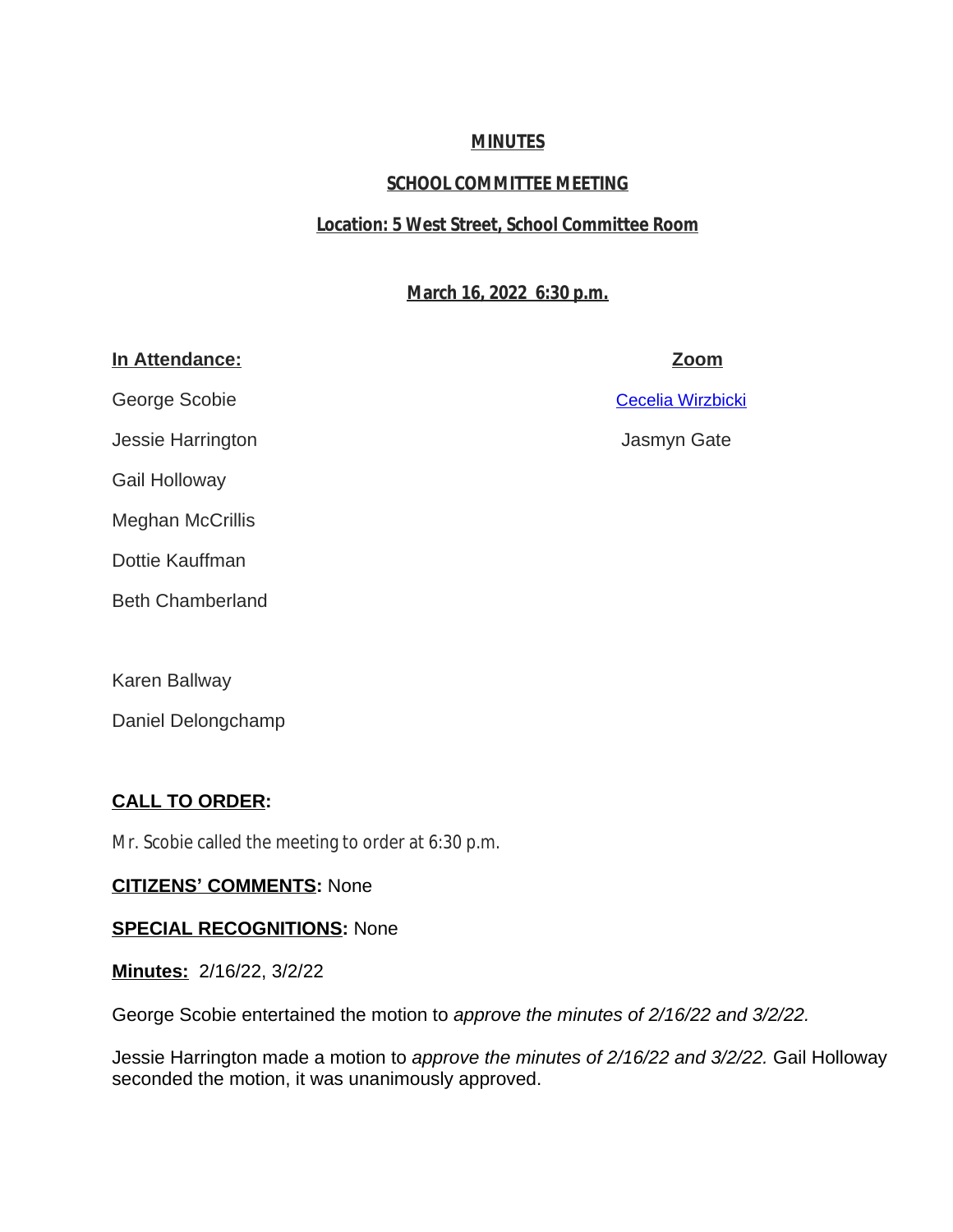## **MINUTES**

# **SCHOOL COMMITTEE MEETING**

## **Location: 5 West Street, School Committee Room**

## **March 16, 2022 6:30 p.m.**

## **In Attendance: Zoom**

George Scobie [Cecelia Wirzbicki](mailto:cwirzbicki@auburn.k12.ma.us)

[Jessie Harrington Jasmyn Gate](mailto:cwirzbicki@auburn.k12.ma.us)

[Gail Holloway](mailto:cwirzbicki@auburn.k12.ma.us)

[Meghan McCrillis](mailto:cwirzbicki@auburn.k12.ma.us) 

[Dottie Kauffman](mailto:cwirzbicki@auburn.k12.ma.us)

[Beth Chamberland](mailto:cwirzbicki@auburn.k12.ma.us) 

[Karen Ballway](mailto:cwirzbicki@auburn.k12.ma.us)

[Daniel Delongchamp](mailto:cwirzbicki@auburn.k12.ma.us)

# **[CALL TO ORDER:](mailto:cwirzbicki@auburn.k12.ma.us)**

[Mr. Scobie called the meeting to order at 6:30 p.m.](mailto:cwirzbicki@auburn.k12.ma.us)

## **CITIZENS' [COMMENTS:](mailto:cwirzbicki@auburn.k12.ma.us)** [None](mailto:cwirzbicki@auburn.k12.ma.us)

## **[SPECIAL RECOGNITIONS:](mailto:cwirzbicki@auburn.k12.ma.us)** [None](mailto:cwirzbicki@auburn.k12.ma.us)

**[Minutes:](mailto:cwirzbicki@auburn.k12.ma.us)** [2/16/22, 3/2/22](mailto:cwirzbicki@auburn.k12.ma.us)

[George Scobie entertained the motion to](mailto:cwirzbicki@auburn.k12.ma.us) *[approve the minutes of 2/16/22 and 3/2/22.](mailto:cwirzbicki@auburn.k12.ma.us)*

[Jessie Harrington made a motion to](mailto:cwirzbicki@auburn.k12.ma.us) *[approve the minutes of 2/16/22 and 3/2/22.](mailto:cwirzbicki@auburn.k12.ma.us)* [Gail Holloway](mailto:cwirzbicki@auburn.k12.ma.us)  [seconded the motion, it was unanimously approved.](mailto:cwirzbicki@auburn.k12.ma.us)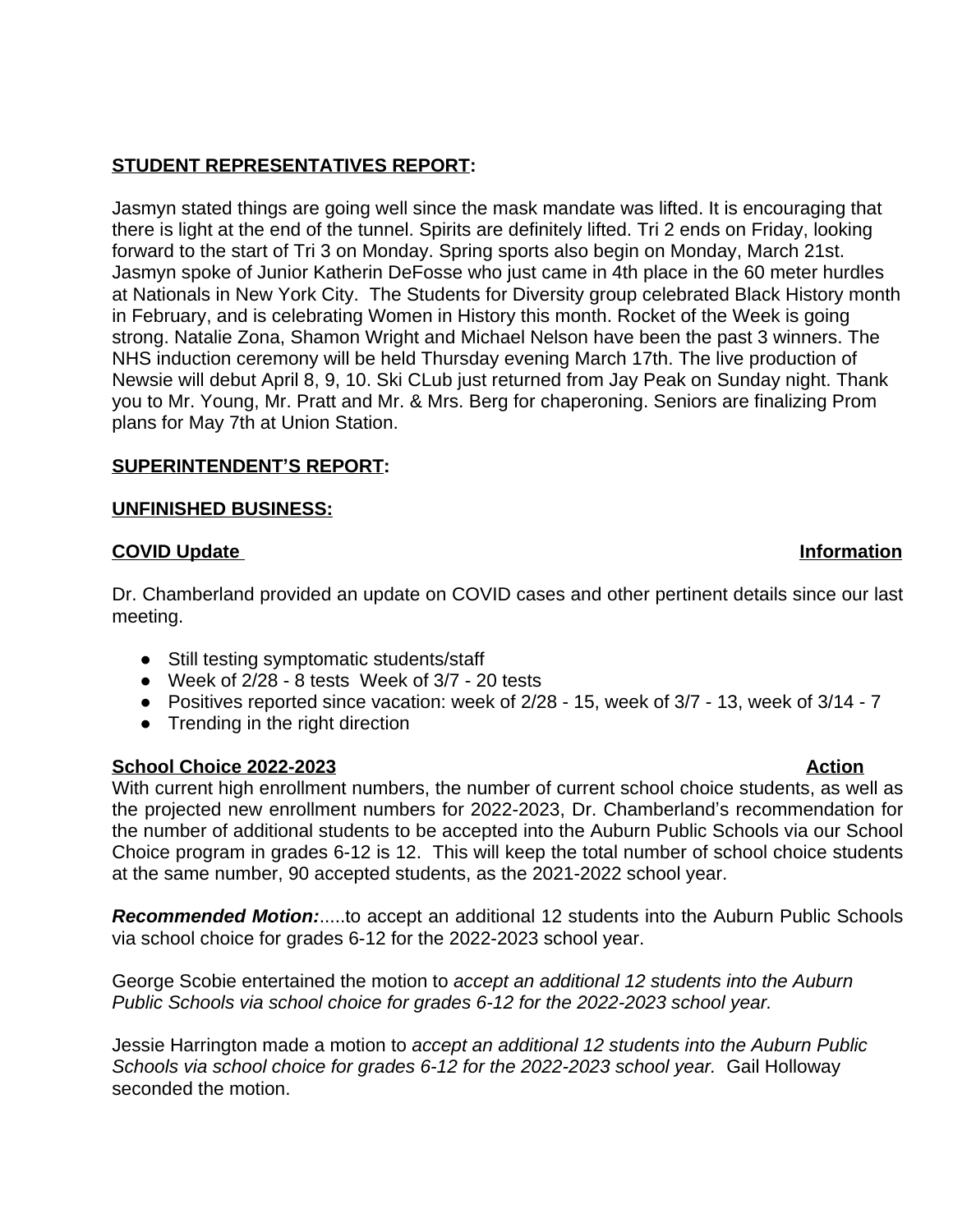# **STUDENT REPRESENTATIVES REPORT:**

Jasmyn stated things are going well since the mask mandate was lifted. It is encouraging that there is light at the end of the tunnel. Spirits are definitely lifted. Tri 2 ends on Friday, looking forward to the start of Tri 3 on Monday. Spring sports also begin on Monday, March 21st. Jasmyn spoke of Junior Katherin DeFosse who just came in 4th place in the 60 meter hurdles at Nationals in New York City. The Students for Diversity group celebrated Black History month in February, and is celebrating Women in History this month. Rocket of the Week is going strong. Natalie Zona, Shamon Wright and Michael Nelson have been the past 3 winners. The NHS induction ceremony will be held Thursday evening March 17th. The live production of Newsie will debut April 8, 9, 10. Ski CLub just returned from Jay Peak on Sunday night. Thank you to Mr. Young, Mr. Pratt and Mr. & Mrs. Berg for chaperoning. Seniors are finalizing Prom plans for May 7th at Union Station.

## **SUPERINTENDENT'S REPORT:**

### **UNFINISHED BUSINESS:**

### **COVID Update Information**

Dr. Chamberland provided an update on COVID cases and other pertinent details since our last meeting.

- Still testing symptomatic students/staff
- $\bullet$  Week of 2/28 8 tests Week of 3/7 20 tests
- Positives reported since vacation: week of 2/28 15, week of 3/7 13, week of 3/14 7
- Trending in the right direction

### **School Choice 2022-2023** Action

With current high enrollment numbers, the number of current school choice students, as well as the projected new enrollment numbers for 2022-2023, Dr. Chamberland's recommendation for the number of additional students to be accepted into the Auburn Public Schools via our School Choice program in grades 6-12 is 12. This will keep the total number of school choice students at the same number, 90 accepted students, as the 2021-2022 school year.

*Recommended Motion:*.....to accept an additional 12 students into the Auburn Public Schools via school choice for grades 6-12 for the 2022-2023 school year.

George Scobie entertained the motion to *accept an additional 12 students into the Auburn Public Schools via school choice for grades 6-12 for the 2022-2023 school year.* 

Jessie Harrington made a motion to *accept an additional 12 students into the Auburn Public Schools via school choice for grades 6-12 for the 2022-2023 school year.* Gail Holloway seconded the motion.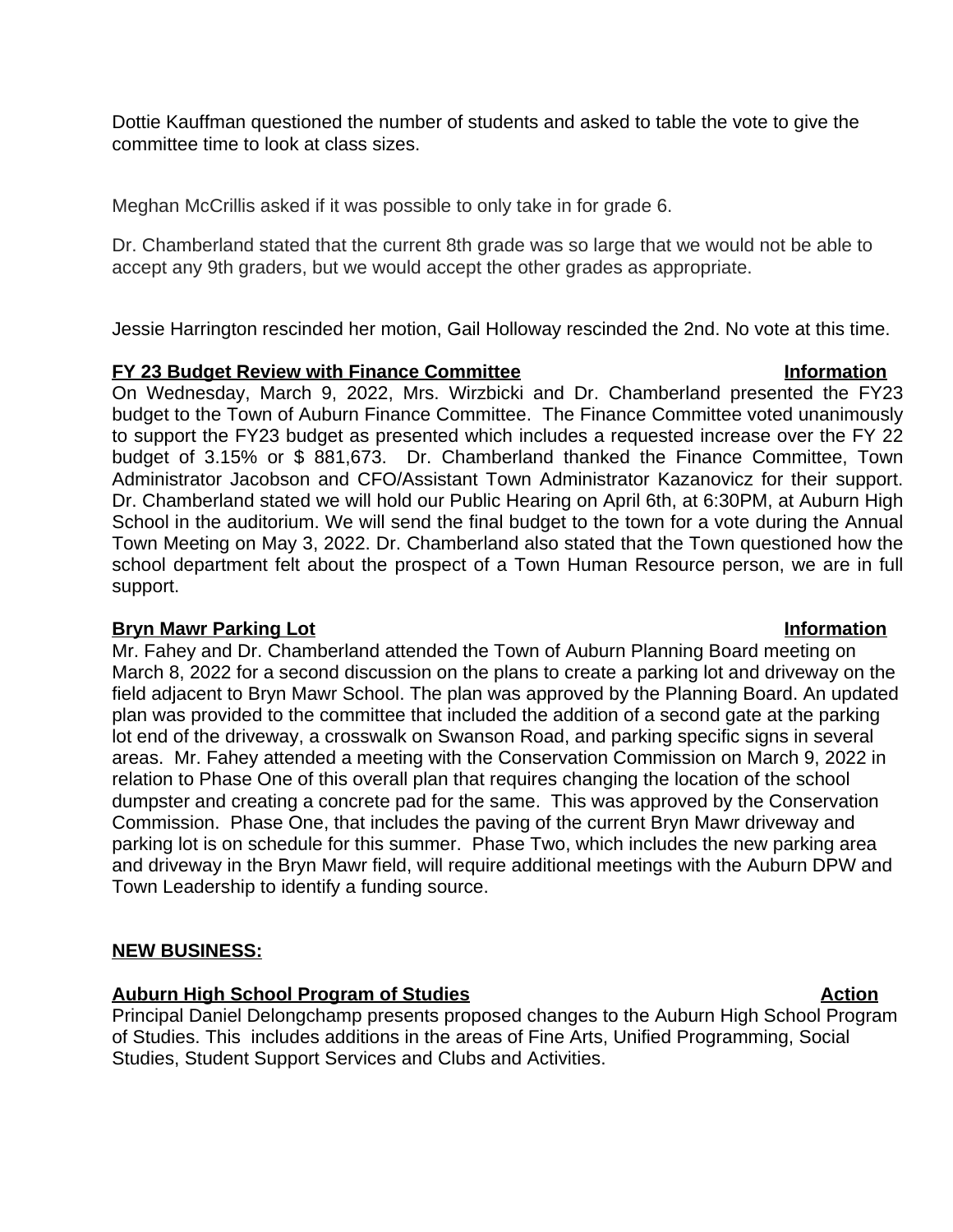Dottie Kauffman questioned the number of students and asked to table the vote to give the committee time to look at class sizes.

Meghan McCrillis asked if it was possible to only take in for grade 6.

Dr. Chamberland stated that the current 8th grade was so large that we would not be able to accept any 9th graders, but we would accept the other grades as appropriate.

Jessie Harrington rescinded her motion, Gail Holloway rescinded the 2nd. No vote at this time.

### **FY 23 Budget Review with Finance Committee Information**

On Wednesday, March 9, 2022, Mrs. Wirzbicki and Dr. Chamberland presented the FY23 budget to the Town of Auburn Finance Committee. The Finance Committee voted unanimously to support the FY23 budget as presented which includes a requested increase over the FY 22 budget of 3.15% or \$ 881,673. Dr. Chamberland thanked the Finance Committee, Town Administrator Jacobson and CFO/Assistant Town Administrator Kazanovicz for their support. Dr. Chamberland stated we will hold our Public Hearing on April 6th, at 6:30PM, at Auburn High School in the auditorium. We will send the final budget to the town for a vote during the Annual Town Meeting on May 3, 2022. Dr. Chamberland also stated that the Town questioned how the school department felt about the prospect of a Town Human Resource person, we are in full support.

### **Bryn Mawr Parking Lot Information**

Mr. Fahey and Dr. Chamberland attended the Town of Auburn Planning Board meeting on March 8, 2022 for a second discussion on the plans to create a parking lot and driveway on the field adjacent to Bryn Mawr School. The plan was approved by the Planning Board. An updated plan was provided to the committee that included the addition of a second gate at the parking lot end of the driveway, a crosswalk on Swanson Road, and parking specific signs in several areas. Mr. Fahey attended a meeting with the Conservation Commission on March 9, 2022 in relation to Phase One of this overall plan that requires changing the location of the school dumpster and creating a concrete pad for the same. This was approved by the Conservation Commission. Phase One, that includes the paving of the current Bryn Mawr driveway and parking lot is on schedule for this summer. Phase Two, which includes the new parking area and driveway in the Bryn Mawr field, will require additional meetings with the Auburn DPW and Town Leadership to identify a funding source.

### **NEW BUSINESS:**

### **Auburn High School Program of Studies Action**

Principal Daniel Delongchamp presents proposed changes to the Auburn High School Program of Studies. This includes additions in the areas of Fine Arts, Unified Programming, Social Studies, Student Support Services and Clubs and Activities.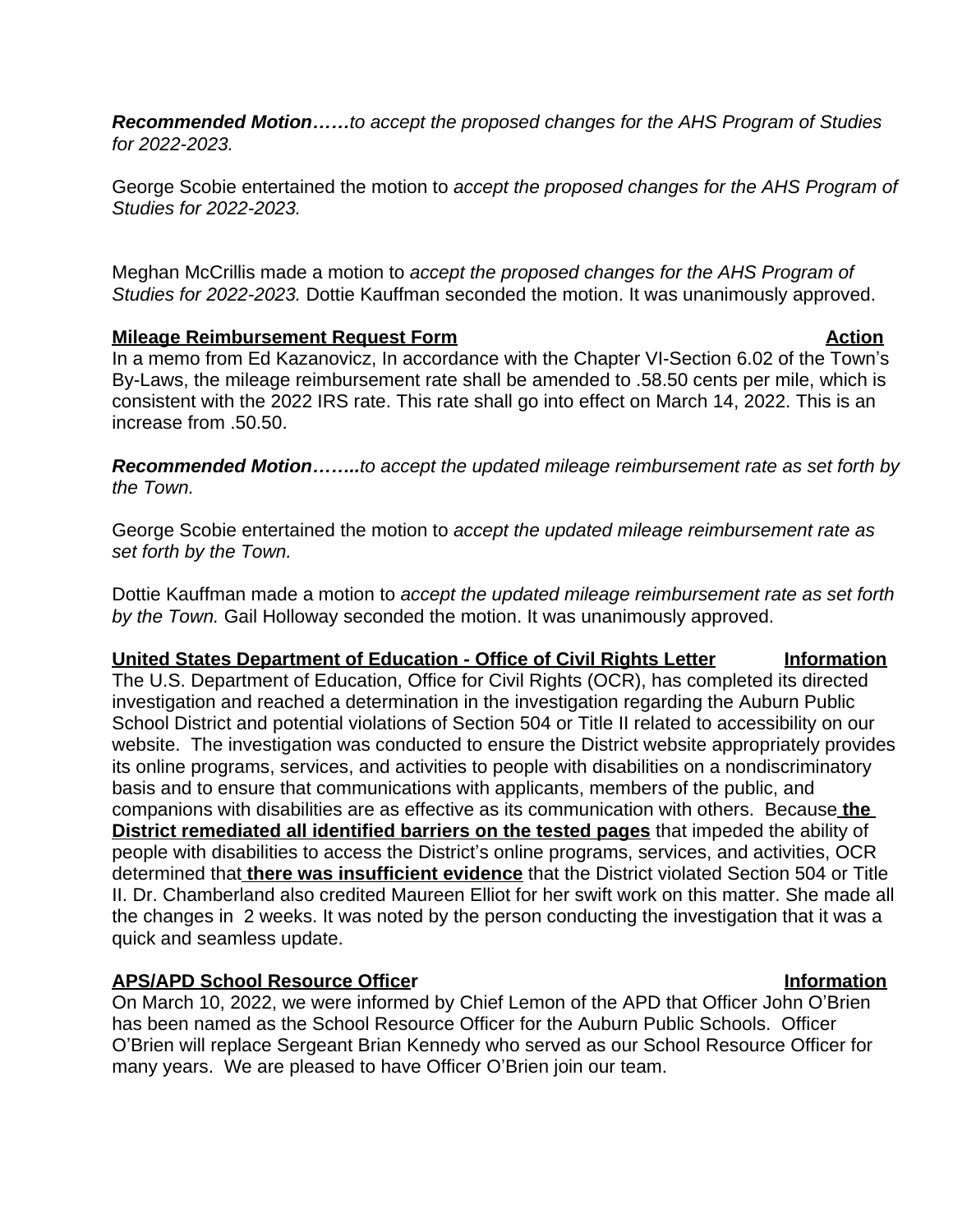*Recommended Motion……to accept the proposed changes for the AHS Program of Studies for 2022-2023.*

George Scobie entertained the motion to *accept the proposed changes for the AHS Program of Studies for 2022-2023.*

Meghan McCrillis made a motion to *accept the proposed changes for the AHS Program of Studies for 2022-2023.* Dottie Kauffman seconded the motion. It was unanimously approved.

## **Mileage Reimbursement Request Form Action Action**

In a memo from Ed Kazanovicz, In accordance with the Chapter VI-Section 6.02 of the Town's By-Laws, the mileage reimbursement rate shall be amended to .58.50 cents per mile, which is consistent with the 2022 IRS rate. This rate shall go into effect on March 14, 2022. This is an increase from .50.50.

*Recommended Motion……..to accept the updated mileage reimbursement rate as set forth by the Town.* 

George Scobie entertained the motion to *accept the updated mileage reimbursement rate as set forth by the Town.* 

Dottie Kauffman made a motion to *accept the updated mileage reimbursement rate as set forth by the Town.* Gail Holloway seconded the motion. It was unanimously approved.

## **United States Department of Education - Office of Civil Rights Letter | Information**

The U.S. Department of Education, Office for Civil Rights (OCR), has completed its directed investigation and reached a determination in the investigation regarding the Auburn Public School District and potential violations of Section 504 or Title II related to accessibility on our website. The investigation was conducted to ensure the District website appropriately provides its online programs, services, and activities to people with disabilities on a nondiscriminatory basis and to ensure that communications with applicants, members of the public, and companions with disabilities are as effective as its communication with others. Because **the District remediated all identified barriers on the tested pages** that impeded the ability of people with disabilities to access the District's online programs, services, and activities, OCR determined that **there was insufficient evidence** that the District violated Section 504 or Title II. Dr. Chamberland also credited Maureen Elliot for her swift work on this matter. She made all the changes in 2 weeks. It was noted by the person conducting the investigation that it was a quick and seamless update.

## **APS/APD School Resource Officer Information**

On March 10, 2022, we were informed by Chief Lemon of the APD that Officer John O'Brien has been named as the School Resource Officer for the Auburn Public Schools. Officer O'Brien will replace Sergeant Brian Kennedy who served as our School Resource Officer for many years. We are pleased to have Officer O'Brien join our team.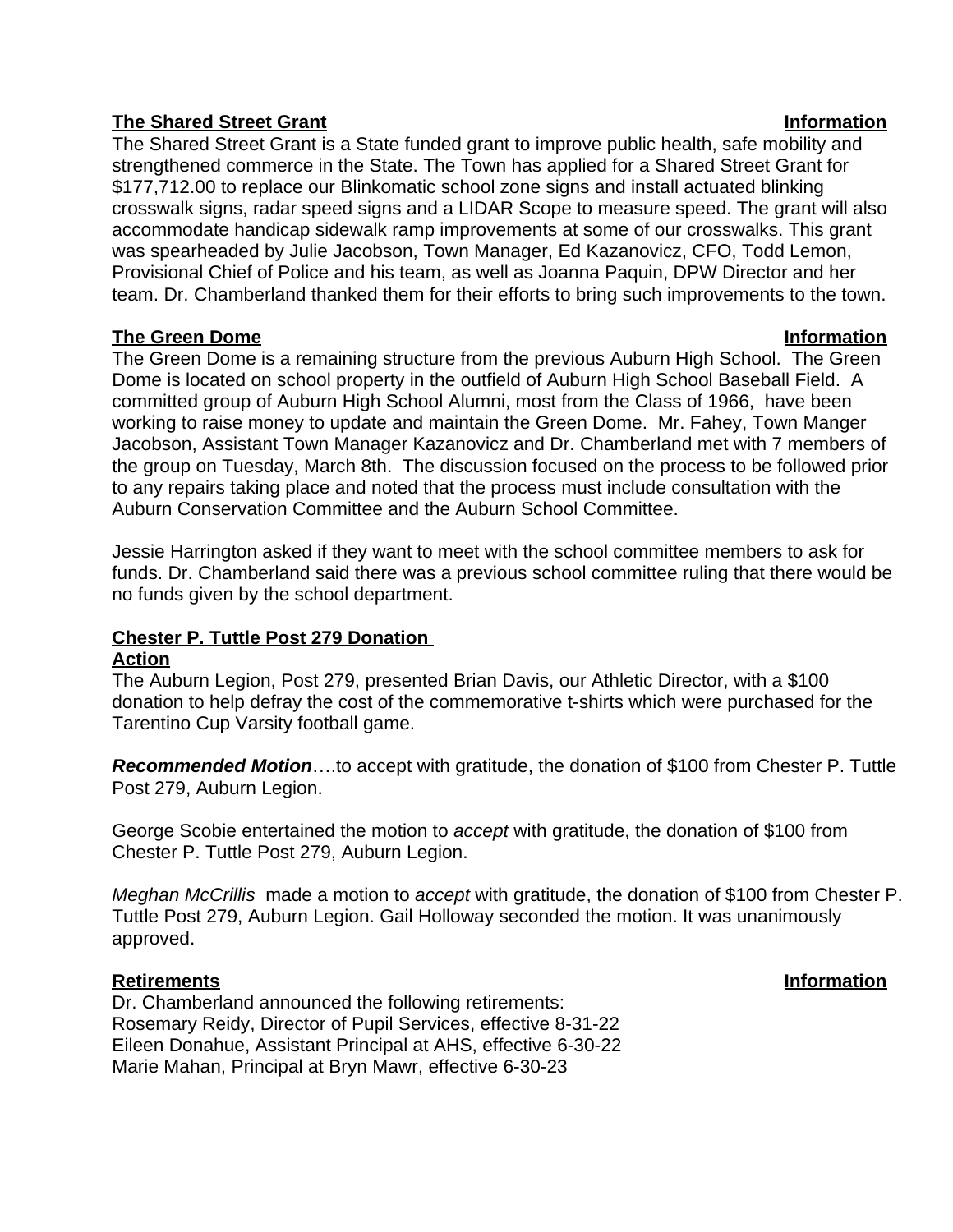## **The Shared Street Grant Information**

The Shared Street Grant is a State funded grant to improve public health, safe mobility and strengthened commerce in the State. The Town has applied for a Shared Street Grant for \$177,712.00 to replace our Blinkomatic school zone signs and install actuated blinking crosswalk signs, radar speed signs and a LIDAR Scope to measure speed. The grant will also accommodate handicap sidewalk ramp improvements at some of our crosswalks. This grant was spearheaded by Julie Jacobson, Town Manager, Ed Kazanovicz, CFO, Todd Lemon, Provisional Chief of Police and his team, as well as Joanna Paquin, DPW Director and her team. Dr. Chamberland thanked them for their efforts to bring such improvements to the town.

## **The Green Dome Information**

The Green Dome is a remaining structure from the previous Auburn High School. The Green Dome is located on school property in the outfield of Auburn High School Baseball Field. A committed group of Auburn High School Alumni, most from the Class of 1966, have been working to raise money to update and maintain the Green Dome. Mr. Fahey, Town Manger Jacobson, Assistant Town Manager Kazanovicz and Dr. Chamberland met with 7 members of the group on Tuesday, March 8th. The discussion focused on the process to be followed prior to any repairs taking place and noted that the process must include consultation with the Auburn Conservation Committee and the Auburn School Committee.

Jessie Harrington asked if they want to meet with the school committee members to ask for funds. Dr. Chamberland said there was a previous school committee ruling that there would be no funds given by the school department.

#### **Chester P. Tuttle Post 279 Donation Action**

The Auburn Legion, Post 279, presented Brian Davis, our Athletic Director, with a \$100 donation to help defray the cost of the commemorative t-shirts which were purchased for the Tarentino Cup Varsity football game.

*Recommended Motion*….to accept with gratitude, the donation of \$100 from Chester P. Tuttle Post 279, Auburn Legion.

George Scobie entertained the motion to *accept* with gratitude, the donation of \$100 from Chester P. Tuttle Post 279, Auburn Legion.

*Meghan McCrillis* made a motion to *accept* with gratitude, the donation of \$100 from Chester P. Tuttle Post 279, Auburn Legion. Gail Holloway seconded the motion. It was unanimously approved.

### **Retirements Information**

Dr. Chamberland announced the following retirements: Rosemary Reidy, Director of Pupil Services, effective 8-31-22 Eileen Donahue, Assistant Principal at AHS, effective 6-30-22 Marie Mahan, Principal at Bryn Mawr, effective 6-30-23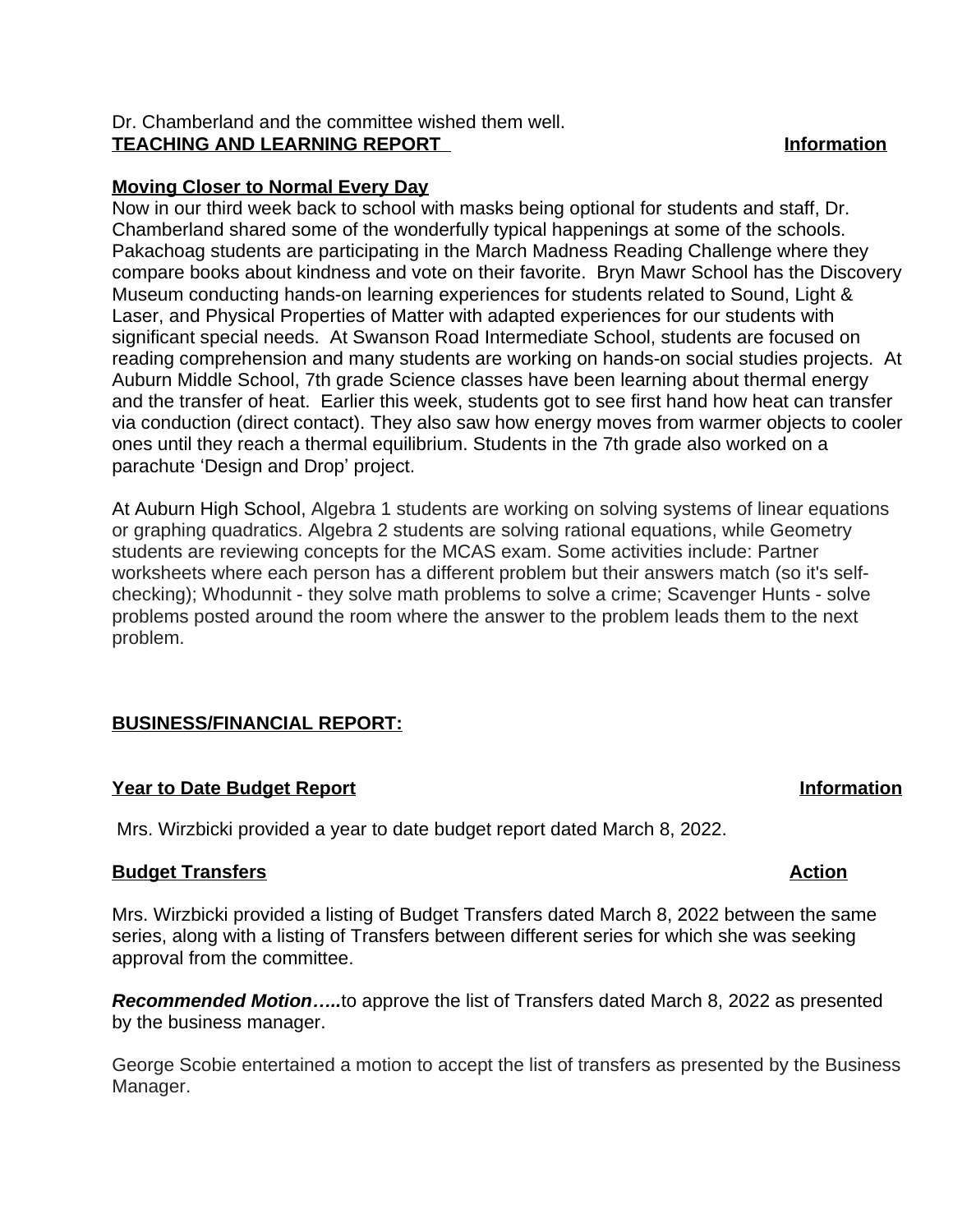## Dr. Chamberland and the committee wished them well. **TEACHING AND LEARNING REPORT Information**

## **Moving Closer to Normal Every Day**

Now in our third week back to school with masks being optional for students and staff, Dr. Chamberland shared some of the wonderfully typical happenings at some of the schools. Pakachoag students are participating in the March Madness Reading Challenge where they compare books about kindness and vote on their favorite. Bryn Mawr School has the Discovery Museum conducting hands-on learning experiences for students related to Sound, Light & Laser, and Physical Properties of Matter with adapted experiences for our students with significant special needs. At Swanson Road Intermediate School, students are focused on reading comprehension and many students are working on hands-on social studies projects. At Auburn Middle School, 7th grade Science classes have been learning about thermal energy and the transfer of heat. Earlier this week, students got to see first hand how heat can transfer via conduction (direct contact). They also saw how energy moves from warmer objects to cooler ones until they reach a thermal equilibrium. Students in the 7th grade also worked on a parachute 'Design and Drop' project.

At Auburn High School, Algebra 1 students are working on solving systems of linear equations or graphing quadratics. Algebra 2 students are solving rational equations, while Geometry students are reviewing concepts for the MCAS exam. Some activities include: Partner worksheets where each person has a different problem but their answers match (so it's selfchecking); Whodunnit - they solve math problems to solve a crime; Scavenger Hunts - solve problems posted around the room where the answer to the problem leads them to the next problem.

### **BUSINESS/FINANCIAL REPORT:**

### **Year to Date Budget Report in the Second Second Second Second Second Second Second Second Second Second Second Second Second Second Second Second Second Second Second Second Second Second Second Second Second Second Secon**

Mrs. Wirzbicki provided a year to date budget report dated March 8, 2022.

### **Budget Transfers** Action

Mrs. Wirzbicki provided a listing of Budget Transfers dated March 8, 2022 between the same series, along with a listing of Transfers between different series for which she was seeking approval from the committee.

*Recommended Motion…..*to approve the list of Transfers dated March 8, 2022 as presented by the business manager.

George Scobie entertained a motion to accept the list of transfers as presented by the Business Manager.